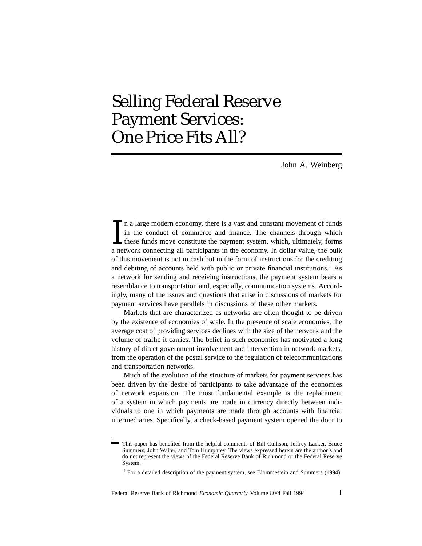# Selling Federal Reserve Payment Services: One Price Fits All?

John A. Weinberg

In a large modern economy, there is a vast and constant movement of funds<br>in the conduct of commerce and finance. The channels through which<br>these funds move constitute the payment system, which, ultimately, forms<br>a networ n a large modern economy, there is a vast and constant movement of funds in the conduct of commerce and finance. The channels through which these funds move constitute the payment system, which, ultimately, forms of this movement is not in cash but in the form of instructions for the crediting and debiting of accounts held with public or private financial institutions.<sup>1</sup> As a network for sending and receiving instructions, the payment system bears a resemblance to transportation and, especially, communication systems. Accordingly, many of the issues and questions that arise in discussions of markets for payment services have parallels in discussions of these other markets.

Markets that are characterized as networks are often thought to be driven by the existence of economies of scale. In the presence of scale economies, the average cost of providing services declines with the size of the network and the volume of traffic it carries. The belief in such economies has motivated a long history of direct government involvement and intervention in network markets, from the operation of the postal service to the regulation of telecommunications and transportation networks.

Much of the evolution of the structure of markets for payment services has been driven by the desire of participants to take advantage of the economies of network expansion. The most fundamental example is the replacement of a system in which payments are made in currency directly between individuals to one in which payments are made through accounts with financial intermediaries. Specifically, a check-based payment system opened the door to

This paper has benefited from the helpful comments of Bill Cullison, Jeffrey Lacker, Bruce Summers, John Walter, and Tom Humphrey. The views expressed herein are the author's and do not represent the views of the Federal Reserve Bank of Richmond or the Federal Reserve System.

<sup>&</sup>lt;sup>1</sup> For a detailed description of the payment system, see Blommestein and Summers (1994).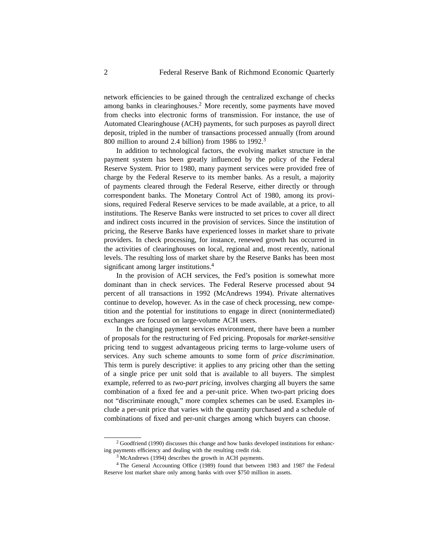network efficiencies to be gained through the centralized exchange of checks among banks in clearinghouses.<sup>2</sup> More recently, some payments have moved from checks into electronic forms of transmission. For instance, the use of Automated Clearinghouse (ACH) payments, for such purposes as payroll direct deposit, tripled in the number of transactions processed annually (from around 800 million to around 2.4 billion) from 1986 to 1992.<sup>3</sup>

In addition to technological factors, the evolving market structure in the payment system has been greatly influenced by the policy of the Federal Reserve System. Prior to 1980, many payment services were provided free of charge by the Federal Reserve to its member banks. As a result, a majority of payments cleared through the Federal Reserve, either directly or through correspondent banks. The Monetary Control Act of 1980, among its provisions, required Federal Reserve services to be made available, at a price, to all institutions. The Reserve Banks were instructed to set prices to cover all direct and indirect costs incurred in the provision of services. Since the institution of pricing, the Reserve Banks have experienced losses in market share to private providers. In check processing, for instance, renewed growth has occurred in the activities of clearinghouses on local, regional and, most recently, national levels. The resulting loss of market share by the Reserve Banks has been most significant among larger institutions.<sup>4</sup>

In the provision of ACH services, the Fed's position is somewhat more dominant than in check services. The Federal Reserve processed about 94 percent of all transactions in 1992 (McAndrews 1994). Private alternatives continue to develop, however. As in the case of check processing, new competition and the potential for institutions to engage in direct (nonintermediated) exchanges are focused on large-volume ACH users.

In the changing payment services environment, there have been a number of proposals for the restructuring of Fed pricing. Proposals for *market-sensitive* pricing tend to suggest advantageous pricing terms to large-volume users of services. Any such scheme amounts to some form of *price discrimination*. This term is purely descriptive: it applies to any pricing other than the setting of a single price per unit sold that is available to all buyers. The simplest example, referred to as *two-part pricing,* involves charging all buyers the same combination of a fixed fee and a per-unit price. When two-part pricing does not "discriminate enough," more complex schemes can be used. Examples include a per-unit price that varies with the quantity purchased and a schedule of combinations of fixed and per-unit charges among which buyers can choose.

<sup>&</sup>lt;sup>2</sup> Goodfriend (1990) discusses this change and how banks developed institutions for enhancing payments efficiency and dealing with the resulting credit risk.

 $3$  McAndrews (1994) describes the growth in ACH payments.

<sup>4</sup> The General Accounting Office (1989) found that between 1983 and 1987 the Federal Reserve lost market share only among banks with over \$750 million in assets.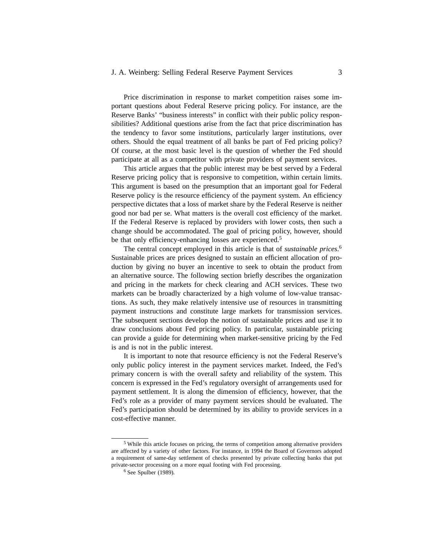#### J. A. Weinberg: Selling Federal Reserve Payment Services 3

Price discrimination in response to market competition raises some important questions about Federal Reserve pricing policy. For instance, are the Reserve Banks' "business interests" in conflict with their public policy responsibilities? Additional questions arise from the fact that price discrimination has the tendency to favor some institutions, particularly larger institutions, over others. Should the equal treatment of all banks be part of Fed pricing policy? Of course, at the most basic level is the question of whether the Fed should participate at all as a competitor with private providers of payment services.

This article argues that the public interest may be best served by a Federal Reserve pricing policy that is responsive to competition, within certain limits. This argument is based on the presumption that an important goal for Federal Reserve policy is the resource efficiency of the payment system. An efficiency perspective dictates that a loss of market share by the Federal Reserve is neither good nor bad per se. What matters is the overall cost efficiency of the market. If the Federal Reserve is replaced by providers with lower costs, then such a change should be accommodated. The goal of pricing policy, however, should be that only efficiency-enhancing losses are experienced.<sup>5</sup>

The central concept employed in this article is that of *sustainable prices*. 6 Sustainable prices are prices designed to sustain an efficient allocation of production by giving no buyer an incentive to seek to obtain the product from an alternative source. The following section briefly describes the organization and pricing in the markets for check clearing and ACH services. These two markets can be broadly characterized by a high volume of low-value transactions. As such, they make relatively intensive use of resources in transmitting payment instructions and constitute large markets for transmission services. The subsequent sections develop the notion of sustainable prices and use it to draw conclusions about Fed pricing policy. In particular, sustainable pricing can provide a guide for determining when market-sensitive pricing by the Fed is and is not in the public interest.

It is important to note that resource efficiency is not the Federal Reserve's only public policy interest in the payment services market. Indeed, the Fed's primary concern is with the overall safety and reliability of the system. This concern is expressed in the Fed's regulatory oversight of arrangements used for payment settlement. It is along the dimension of efficiency, however, that the Fed's role as a provider of many payment services should be evaluated. The Fed's participation should be determined by its ability to provide services in a cost-effective manner.

<sup>5</sup> While this article focuses on pricing, the terms of competition among alternative providers are affected by a variety of other factors. For instance, in 1994 the Board of Governors adopted a requirement of same-day settlement of checks presented by private collecting banks that put private-sector processing on a more equal footing with Fed processing.

 $6$  See Spulber (1989).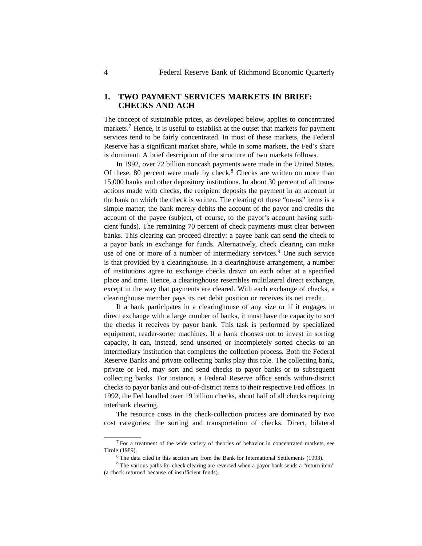## **1. TWO PAYMENT SERVICES MARKETS IN BRIEF: CHECKS AND ACH**

The concept of sustainable prices, as developed below, applies to concentrated markets.<sup>7</sup> Hence, it is useful to establish at the outset that markets for payment services tend to be fairly concentrated. In most of these markets, the Federal Reserve has a significant market share, while in some markets, the Fed's share is dominant. A brief description of the structure of two markets follows.

In 1992, over 72 billion noncash payments were made in the United States. Of these, 80 percent were made by check. $8$  Checks are written on more than 15,000 banks and other depository institutions. In about 30 percent of all transactions made with checks, the recipient deposits the payment in an account in the bank on which the check is written. The clearing of these "on-us" items is a simple matter; the bank merely debits the account of the payor and credits the account of the payee (subject, of course, to the payor's account having sufficient funds). The remaining 70 percent of check payments must clear between banks. This clearing can proceed directly: a payee bank can send the check to a payor bank in exchange for funds. Alternatively, check clearing can make use of one or more of a number of intermediary services.<sup>9</sup> One such service is that provided by a clearinghouse. In a clearinghouse arrangement, a number of institutions agree to exchange checks drawn on each other at a specified place and time. Hence, a clearinghouse resembles multilateral direct exchange, except in the way that payments are cleared. With each exchange of checks, a clearinghouse member pays its net debit position or receives its net credit.

If a bank participates in a clearinghouse of any size or if it engages in direct exchange with a large number of banks, it must have the capacity to sort the checks it receives by payor bank. This task is performed by specialized equipment, reader-sorter machines. If a bank chooses not to invest in sorting capacity, it can, instead, send unsorted or incompletely sorted checks to an intermediary institution that completes the collection process. Both the Federal Reserve Banks and private collecting banks play this role. The collecting bank, private or Fed, may sort and send checks to payor banks or to subsequent collecting banks. For instance, a Federal Reserve office sends within-district checks to payor banks and out-of-district items to their respective Fed offices. In 1992, the Fed handled over 19 billion checks, about half of all checks requiring interbank clearing.

The resource costs in the check-collection process are dominated by two cost categories: the sorting and transportation of checks. Direct, bilateral

 $7$  For a treatment of the wide variety of theories of behavior in concentrated markets, see Tirole (1989).

<sup>8</sup> The data cited in this section are from the Bank for International Settlements (1993).

<sup>9</sup> The various paths for check clearing are reversed when a payor bank sends a "return item" (a check returned because of insufficient funds).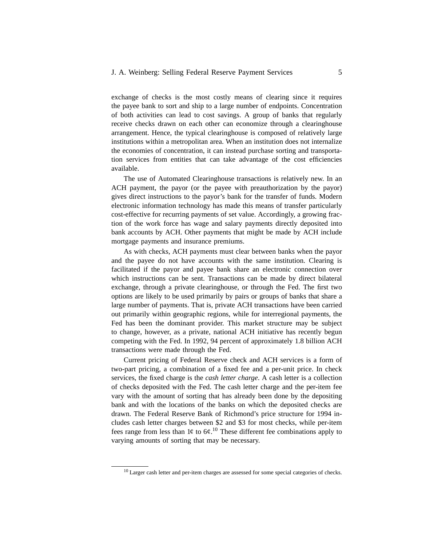## J. A. Weinberg: Selling Federal Reserve Payment Services 5

exchange of checks is the most costly means of clearing since it requires the payee bank to sort and ship to a large number of endpoints. Concentration of both activities can lead to cost savings. A group of banks that regularly receive checks drawn on each other can economize through a clearinghouse arrangement. Hence, the typical clearinghouse is composed of relatively large institutions within a metropolitan area. When an institution does not internalize the economies of concentration, it can instead purchase sorting and transportation services from entities that can take advantage of the cost efficiencies available.

The use of Automated Clearinghouse transactions is relatively new. In an ACH payment, the payor (or the payee with preauthorization by the payor) gives direct instructions to the payor's bank for the transfer of funds. Modern electronic information technology has made this means of transfer particularly cost-effective for recurring payments of set value. Accordingly, a growing fraction of the work force has wage and salary payments directly deposited into bank accounts by ACH. Other payments that might be made by ACH include mortgage payments and insurance premiums.

As with checks, ACH payments must clear between banks when the payor and the payee do not have accounts with the same institution. Clearing is facilitated if the payor and payee bank share an electronic connection over which instructions can be sent. Transactions can be made by direct bilateral exchange, through a private clearinghouse, or through the Fed. The first two options are likely to be used primarily by pairs or groups of banks that share a large number of payments. That is, private ACH transactions have been carried out primarily within geographic regions, while for interregional payments, the Fed has been the dominant provider. This market structure may be subject to change, however, as a private, national ACH initiative has recently begun competing with the Fed. In 1992, 94 percent of approximately 1.8 billion ACH transactions were made through the Fed.

Current pricing of Federal Reserve check and ACH services is a form of two-part pricing, a combination of a fixed fee and a per-unit price. In check services, the fixed charge is the *cash letter charge*. A cash letter is a collection of checks deposited with the Fed. The cash letter charge and the per-item fee vary with the amount of sorting that has already been done by the depositing bank and with the locations of the banks on which the deposited checks are drawn. The Federal Reserve Bank of Richmond's price structure for 1994 includes cash letter charges between \$2 and \$3 for most checks, while per-item fees range from less than 1¢ to  $6¢$ .<sup>10</sup> These different fee combinations apply to varying amounts of sorting that may be necessary.

 $10$  Larger cash letter and per-item charges are assessed for some special categories of checks.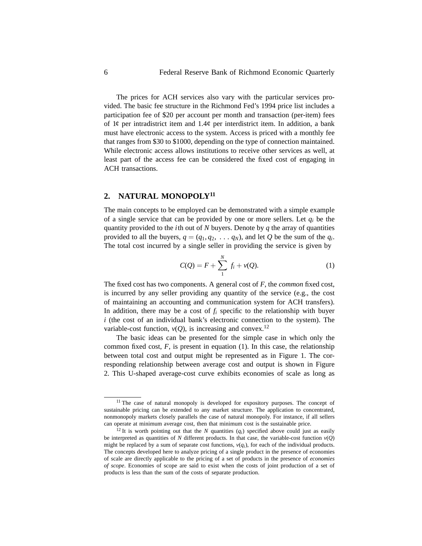The prices for ACH services also vary with the particular services provided. The basic fee structure in the Richmond Fed's 1994 price list includes a participation fee of \$20 per account per month and transaction (per-item) fees of  $1¢$  per intradistrict item and  $1.4¢$  per interdistrict item. In addition, a bank must have electronic access to the system. Access is priced with a monthly fee that ranges from \$30 to \$1000, depending on the type of connection maintained. While electronic access allows institutions to receive other services as well, at least part of the access fee can be considered the fixed cost of engaging in ACH transactions.

## **2. NATURAL MONOPOLY11**

The main concepts to be employed can be demonstrated with a simple example of a single service that can be provided by one or more sellers. Let *qi* be the quantity provided to the *i*th out of *N* buyers. Denote by *q* the array of quantities provided to all the buyers,  $q = (q_1, q_2, \ldots, q_N)$ , and let Q be the sum of the  $q_i$ . The total cost incurred by a single seller in providing the service is given by

$$
C(Q) = F + \sum_{1}^{N} f_i + \nu(Q). \tag{1}
$$

The fixed cost has two components. A general cost of *F*, the *common* fixed cost, is incurred by any seller providing any quantity of the service (e.g., the cost of maintaining an accounting and communication system for ACH transfers). In addition, there may be a cost of  $f_i$  specific to the relationship with buyer *i* (the cost of an individual bank's electronic connection to the system). The variable-cost function,  $v(Q)$ , is increasing and convex.<sup>12</sup>

The basic ideas can be presented for the simple case in which only the common fixed cost,  $F$ , is present in equation (1). In this case, the relationship between total cost and output might be represented as in Figure 1. The corresponding relationship between average cost and output is shown in Figure 2. This U-shaped average-cost curve exhibits economies of scale as long as

<sup>&</sup>lt;sup>11</sup> The case of natural monopoly is developed for expository purposes. The concept of sustainable pricing can be extended to any market structure. The application to concentrated, nonmonopoly markets closely parallels the case of natural monopoly. For instance, if all sellers can operate at minimum average cost, then that minimum cost is the sustainable price.

<sup>&</sup>lt;sup>12</sup> It is worth pointing out that the *N* quantities  $(q_i)$  specified above could just as easily be interpreted as quantities of *N* different products. In that case, the variable-cost function  $v(Q)$ might be replaced by a sum of separate cost functions,  $v(q_i)$ , for each of the individual products. The concepts developed here to analyze pricing of a single product in the presence of economies of scale are directly applicable to the pricing of a set of products in the presence of *economies of scope*. Economies of scope are said to exist when the costs of joint production of a set of products is less than the sum of the costs of separate production.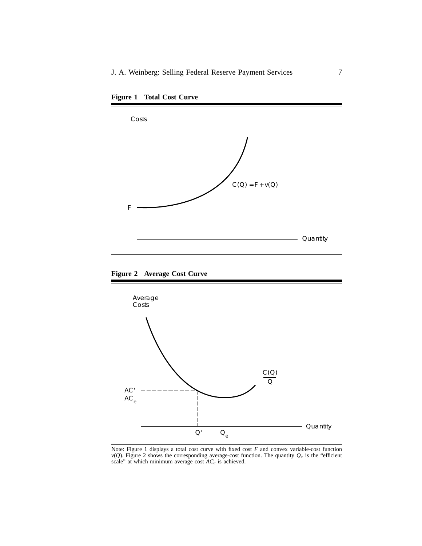



**Figure 2 Average Cost Curve**



Note: Figure 1 displays a total cost curve with fixed cost *F* and convex variable-cost function  $v(Q)$ . Figure 2 shows the corresponding average-cost function. The quantity  $Q_e$  is the "efficient scale" at which minimum average cost *ACe* is achieved.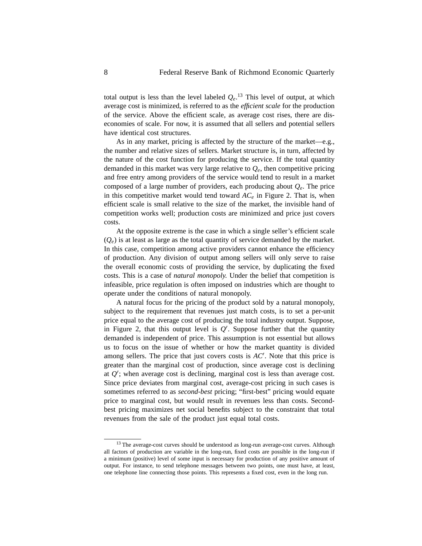total output is less than the level labeled  $Q_e$ .<sup>13</sup> This level of output, at which average cost is minimized, is referred to as the *efficient scale* for the production of the service. Above the efficient scale, as average cost rises, there are diseconomies of scale. For now, it is assumed that all sellers and potential sellers have identical cost structures.

As in any market, pricing is affected by the structure of the market—e.g., the number and relative sizes of sellers. Market structure is, in turn, affected by the nature of the cost function for producing the service. If the total quantity demanded in this market was very large relative to *Qe*, then competitive pricing and free entry among providers of the service would tend to result in a market composed of a large number of providers, each producing about  $Q_e$ . The price in this competitive market would tend toward  $AC_e$  in Figure 2. That is, when efficient scale is small relative to the size of the market, the invisible hand of competition works well; production costs are minimized and price just covers costs.

At the opposite extreme is the case in which a single seller's efficient scale  $(O<sub>e</sub>)$  is at least as large as the total quantity of service demanded by the market. In this case, competition among active providers cannot enhance the efficiency of production. Any division of output among sellers will only serve to raise the overall economic costs of providing the service, by duplicating the fixed costs. This is a case of *natural monopoly.* Under the belief that competition is infeasible, price regulation is often imposed on industries which are thought to operate under the conditions of natural monopoly.

A natural focus for the pricing of the product sold by a natural monopoly, subject to the requirement that revenues just match costs, is to set a per-unit price equal to the average cost of producing the total industry output. Suppose, in Figure 2, that this output level is  $Q'$ . Suppose further that the quantity demanded is independent of price. This assumption is not essential but allows us to focus on the issue of whether or how the market quantity is divided among sellers. The price that just covers costs is *AC* . Note that this price is greater than the marginal cost of production, since average cost is declining at *Q* ; when average cost is declining, marginal cost is less than average cost. Since price deviates from marginal cost, average-cost pricing in such cases is sometimes referred to as *second-best* pricing; "first-best" pricing would equate price to marginal cost, but would result in revenues less than costs. Secondbest pricing maximizes net social benefits subject to the constraint that total revenues from the sale of the product just equal total costs.

<sup>&</sup>lt;sup>13</sup> The average-cost curves should be understood as long-run average-cost curves. Although all factors of production are variable in the long-run, fixed costs are possible in the long-run if a minimum (positive) level of some input is necessary for production of any positive amount of output. For instance, to send telephone messages between two points, one must have, at least, one telephone line connecting those points. This represents a fixed cost, even in the long run.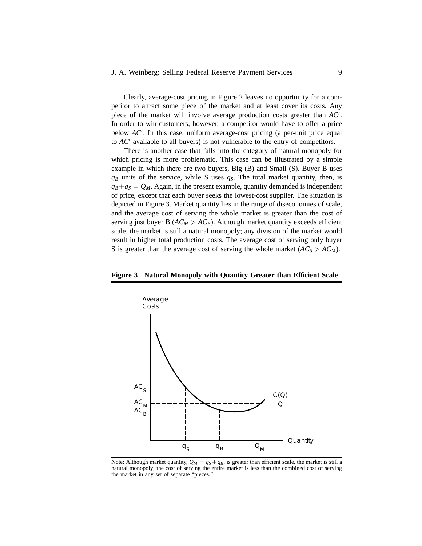## J. A. Weinberg: Selling Federal Reserve Payment Services 9

Clearly, average-cost pricing in Figure 2 leaves no opportunity for a competitor to attract some piece of the market and at least cover its costs. Any piece of the market will involve average production costs greater than *AC* . In order to win customers, however, a competitor would have to offer a price below *AC* . In this case, uniform average-cost pricing (a per-unit price equal to *AC* available to all buyers) is not vulnerable to the entry of competitors.

There is another case that falls into the category of natural monopoly for which pricing is more problematic. This case can be illustrated by a simple example in which there are two buyers, Big (B) and Small (S). Buyer B uses  $q_B$  units of the service, while S uses  $q_S$ . The total market quantity, then, is  $q_B+q_S = Q_M$ . Again, in the present example, quantity demanded is independent of price, except that each buyer seeks the lowest-cost supplier. The situation is depicted in Figure 3. Market quantity lies in the range of diseconomies of scale, and the average cost of serving the whole market is greater than the cost of serving just buyer B ( $AC_M > AC_B$ ). Although market quantity exceeds efficient scale, the market is still a natural monopoly; any division of the market would result in higher total production costs. The average cost of serving only buyer S is greater than the average cost of serving the whole market  $(AC_S > AC_M)$ .

#### **Figure 3 Natural Monopoly with Quantity Greater than Efficient Scale**



Note: Although market quantity,  $Q_M = q_S + q_B$ , is greater than efficient scale, the market is still a natural monopoly; the cost of serving the entire market is less than the combined cost of serving the market in any set of separate "pieces."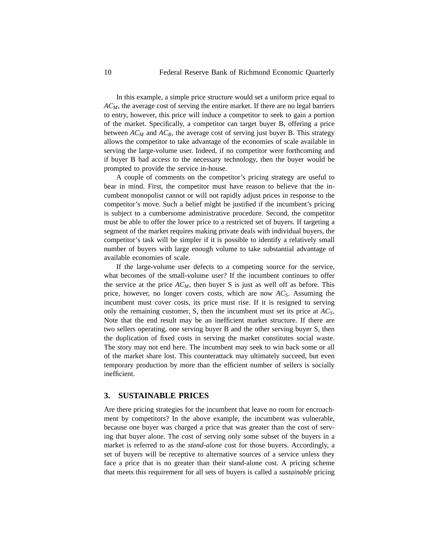In this example, a simple price structure would set a uniform price equal to *ACM*, the average cost of serving the entire market. If there are no legal barriers to entry, however, this price will induce a competitor to seek to gain a portion of the market. Specifically, a competitor can target buyer B, offering a price between  $AC_M$  and  $AC_B$ , the average cost of serving just buyer B. This strategy allows the competitor to take advantage of the economies of scale available in serving the large-volume user. Indeed, if no competitor were forthcoming and if buyer B had access to the necessary technology, then the buyer would be prompted to provide the service in-house.

A couple of comments on the competitor's pricing strategy are useful to bear in mind. First, the competitor must have reason to believe that the incumbent monopolist cannot or will not rapidly adjust prices in response to the competitor's move. Such a belief might be justified if the incumbent's pricing is subject to a cumbersome administrative procedure. Second, the competitor must be able to offer the lower price to a restricted set of buyers. If targeting a segment of the market requires making private deals with individual buyers, the competitor's task will be simpler if it is possible to identify a relatively small number of buyers with large enough volume to take substantial advantage of available economies of scale.

If the large-volume user defects to a competing source for the service, what becomes of the small-volume user? If the incumbent continues to offer the service at the price  $AC_M$ , then buyer S is just as well off as before. This price, however, no longer covers costs, which are now *ACS*. Assuming the incumbent must cover costs, its price must rise. If it is resigned to serving only the remaining customer, S, then the incumbent must set its price at *ACS*. Note that the end result may be an inefficient market structure. If there are two sellers operating, one serving buyer B and the other serving buyer S, then the duplication of fixed costs in serving the market constitutes social waste. The story may not end here. The incumbent may seek to win back some or all of the market share lost. This counterattack may ultimately succeed, but even temporary production by more than the efficient number of sellers is socially inefficient.

## **3. SUSTAINABLE PRICES**

Are there pricing strategies for the incumbent that leave no room for encroachment by competitors? In the above example, the incumbent was vulnerable, because one buyer was charged a price that was greater than the cost of serving that buyer alone. The cost of serving only some subset of the buyers in a market is referred to as the *stand-alone* cost for those buyers. Accordingly, a set of buyers will be receptive to alternative sources of a service unless they face a price that is no greater than their stand-alone cost. A pricing scheme that meets this requirement for all sets of buyers is called a *sustainable* pricing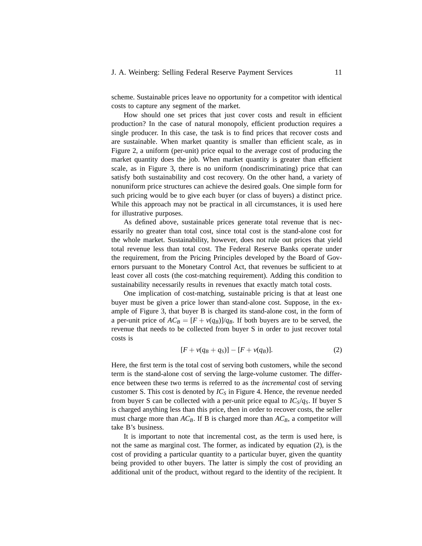#### J. A. Weinberg: Selling Federal Reserve Payment Services 11

scheme. Sustainable prices leave no opportunity for a competitor with identical costs to capture any segment of the market.

How should one set prices that just cover costs and result in efficient production? In the case of natural monopoly, efficient production requires a single producer. In this case, the task is to find prices that recover costs and are sustainable. When market quantity is smaller than efficient scale, as in Figure 2, a uniform (per-unit) price equal to the average cost of producing the market quantity does the job. When market quantity is greater than efficient scale, as in Figure 3, there is no uniform (nondiscriminating) price that can satisfy both sustainability and cost recovery. On the other hand, a variety of nonuniform price structures can achieve the desired goals. One simple form for such pricing would be to give each buyer (or class of buyers) a distinct price. While this approach may not be practical in all circumstances, it is used here for illustrative purposes.

As defined above, sustainable prices generate total revenue that is necessarily no greater than total cost, since total cost is the stand-alone cost for the whole market. Sustainability, however, does not rule out prices that yield total revenue less than total cost. The Federal Reserve Banks operate under the requirement, from the Pricing Principles developed by the Board of Governors pursuant to the Monetary Control Act, that revenues be sufficient to at least cover all costs (the cost-matching requirement). Adding this condition to sustainability necessarily results in revenues that exactly match total costs.

One implication of cost-matching, sustainable pricing is that at least one buyer must be given a price lower than stand-alone cost. Suppose, in the example of Figure 3, that buyer B is charged its stand-alone cost, in the form of a per-unit price of  $AC_B = [F + v(q_B)]/q_B$ . If both buyers are to be served, the revenue that needs to be collected from buyer S in order to just recover total costs is

$$
[F + v(q_B + q_S)] - [F + v(q_B)]. \tag{2}
$$

Here, the first term is the total cost of serving both customers, while the second term is the stand-alone cost of serving the large-volume customer. The difference between these two terms is referred to as the *incremental* cost of serving customer S. This cost is denoted by  $IC<sub>S</sub>$  in Figure 4. Hence, the revenue needed from buyer S can be collected with a per-unit price equal to  $IC_S/q_S$ . If buyer S is charged anything less than this price, then in order to recover costs, the seller must charge more than  $AC_B$ . If B is charged more than  $AC_B$ , a competitor will take B's business.

It is important to note that incremental cost, as the term is used here, is not the same as marginal cost. The former, as indicated by equation (2), is the cost of providing a particular quantity to a particular buyer, given the quantity being provided to other buyers. The latter is simply the cost of providing an additional unit of the product, without regard to the identity of the recipient. It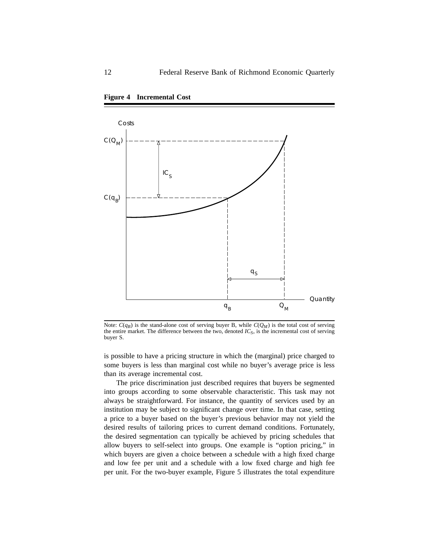



Note:  $C(q_B)$  is the stand-alone cost of serving buyer B, while  $C(Q_M)$  is the total cost of serving the entire market. The difference between the two, denoted  $IC<sub>S</sub>$ , is the incremental cost of serving buyer S.

is possible to have a pricing structure in which the (marginal) price charged to some buyers is less than marginal cost while no buyer's average price is less than its average incremental cost.

The price discrimination just described requires that buyers be segmented into groups according to some observable characteristic. This task may not always be straightforward. For instance, the quantity of services used by an institution may be subject to significant change over time. In that case, setting a price to a buyer based on the buyer's previous behavior may not yield the desired results of tailoring prices to current demand conditions. Fortunately, the desired segmentation can typically be achieved by pricing schedules that allow buyers to self-select into groups. One example is "option pricing," in which buyers are given a choice between a schedule with a high fixed charge and low fee per unit and a schedule with a low fixed charge and high fee per unit. For the two-buyer example, Figure 5 illustrates the total expenditure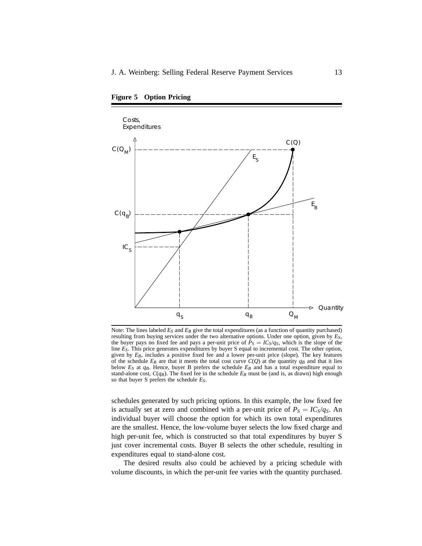

**Figure 5 Option Pricing**

Note: The lines labeled  $E_S$  and  $E_B$  give the total expenditures (as a function of quantity purchased) resulting from buying services under the two alternative options. Under one option, given by *ES*, the buyer pays no fixed fee and pays a per-unit price of  $\bar{P}_S = IC_S/q_S$ , which is the slope of the line *ES*. This price generates expenditures by buyer S equal to incremental cost. The other option, given by  $E_B$ , includes a positive fixed fee and a lower per-unit price (slope). The key features of the schedule  $E_B$  are that it meets the total cost curve  $C(Q)$  at the quantity  $q_B$  and that it lies below  $E_S$  at  $q_B$ . Hence, buyer B prefers the schedule  $E_B$  and has a total expenditure equal to stand-alone cost,  $C(q_B)$ . The fixed fee in the schedule  $E_B$  must be (and is, as drawn) high enough so that buyer S prefers the schedule *ES*.

schedules generated by such pricing options. In this example, the low fixed fee is actually set at zero and combined with a per-unit price of  $P_S = IC_S/q_S$ . An individual buyer will choose the option for which its own total expenditures are the smallest. Hence, the low-volume buyer selects the low fixed charge and high per-unit fee, which is constructed so that total expenditures by buyer S just cover incremental costs. Buyer B selects the other schedule, resulting in expenditures equal to stand-alone cost.

The desired results also could be achieved by a pricing schedule with volume discounts, in which the per-unit fee varies with the quantity purchased.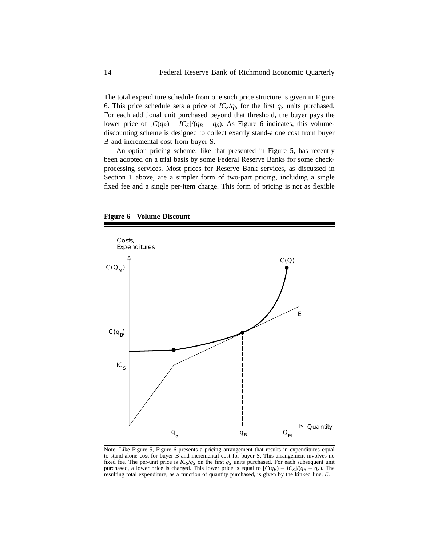The total expenditure schedule from one such price structure is given in Figure 6. This price schedule sets a price of  $IC_S/q_S$  for the first  $q_S$  units purchased. For each additional unit purchased beyond that threshold, the buyer pays the lower price of  $[C(q_B) - IC_S]/(q_B - q_S)$ . As Figure 6 indicates, this volumediscounting scheme is designed to collect exactly stand-alone cost from buyer B and incremental cost from buyer S.

An option pricing scheme, like that presented in Figure 5, has recently been adopted on a trial basis by some Federal Reserve Banks for some checkprocessing services. Most prices for Reserve Bank services, as discussed in Section 1 above, are a simpler form of two-part pricing, including a single fixed fee and a single per-item charge. This form of pricing is not as flexible





Note: Like Figure 5, Figure 6 presents a pricing arrangement that results in expenditures equal to stand-alone cost for buyer B and incremental cost for buyer S. This arrangement involves no fixed fee. The per-unit price is *ICS*/*qS* on the first *qS* units purchased. For each subsequent unit purchased, a lower price is charged. This lower price is equal to  $[C(q_B) - IC_S]/(q_B - q_S)$ . The resulting total expenditure, as a function of quantity purchased, is given by the kinked line, *E*.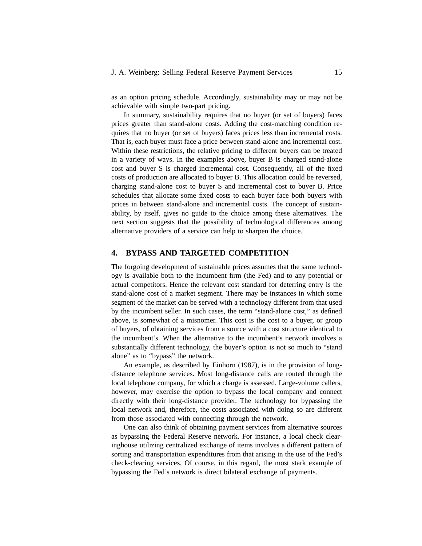as an option pricing schedule. Accordingly, sustainability may or may not be achievable with simple two-part pricing.

In summary, sustainability requires that no buyer (or set of buyers) faces prices greater than stand-alone costs. Adding the cost-matching condition requires that no buyer (or set of buyers) faces prices less than incremental costs. That is, each buyer must face a price between stand-alone and incremental cost. Within these restrictions, the relative pricing to different buyers can be treated in a variety of ways. In the examples above, buyer B is charged stand-alone cost and buyer S is charged incremental cost. Consequently, all of the fixed costs of production are allocated to buyer B. This allocation could be reversed, charging stand-alone cost to buyer S and incremental cost to buyer B. Price schedules that allocate some fixed costs to each buyer face both buyers with prices in between stand-alone and incremental costs. The concept of sustainability, by itself, gives no guide to the choice among these alternatives. The next section suggests that the possibility of technological differences among alternative providers of a service can help to sharpen the choice.

## **4. BYPASS AND TARGETED COMPETITION**

The forgoing development of sustainable prices assumes that the same technology is available both to the incumbent firm (the Fed) and to any potential or actual competitors. Hence the relevant cost standard for deterring entry is the stand-alone cost of a market segment. There may be instances in which some segment of the market can be served with a technology different from that used by the incumbent seller. In such cases, the term "stand-alone cost," as defined above, is somewhat of a misnomer. This cost is the cost to a buyer, or group of buyers, of obtaining services from a source with a cost structure identical to the incumbent's. When the alternative to the incumbent's network involves a substantially different technology, the buyer's option is not so much to "stand alone" as to "bypass" the network.

An example, as described by Einhorn (1987), is in the provision of longdistance telephone services. Most long-distance calls are routed through the local telephone company, for which a charge is assessed. Large-volume callers, however, may exercise the option to bypass the local company and connect directly with their long-distance provider. The technology for bypassing the local network and, therefore, the costs associated with doing so are different from those associated with connecting through the network.

One can also think of obtaining payment services from alternative sources as bypassing the Federal Reserve network. For instance, a local check clearinghouse utilizing centralized exchange of items involves a different pattern of sorting and transportation expenditures from that arising in the use of the Fed's check-clearing services. Of course, in this regard, the most stark example of bypassing the Fed's network is direct bilateral exchange of payments.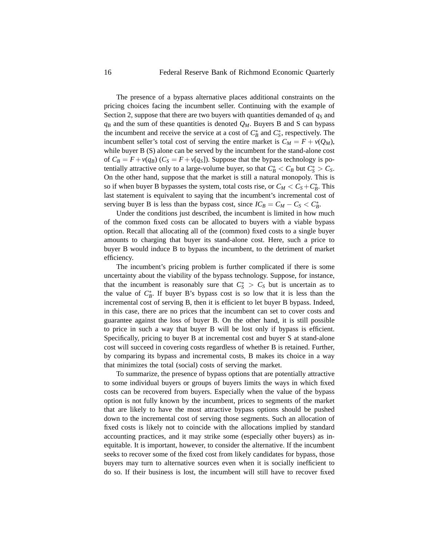The presence of a bypass alternative places additional constraints on the pricing choices facing the incumbent seller. Continuing with the example of Section 2, suppose that there are two buyers with quantities demanded of  $q<sub>S</sub>$  and  $q_B$  and the sum of these quantities is denoted  $Q_M$ . Buyers B and S can bypass the incumbent and receive the service at a cost of  $C_B^*$  and  $C_S^*$ , respectively. The incumbent seller's total cost of serving the entire market is  $C_M = F + v(Q_M)$ , while buyer B (S) alone can be served by the incumbent for the stand-alone cost of  $C_B = F + v(q_B)$  ( $C_S = F + v(q_S)$ ). Suppose that the bypass technology is potentially attractive only to a large-volume buyer, so that  $C_B^* < C_B$  but  $C_S^* > C_S$ . On the other hand, suppose that the market is still a natural monopoly. This is so if when buyer B bypasses the system, total costs rise, or  $C_M < C_S + C_B^*$ . This last statement is equivalent to saying that the incumbent's incremental cost of serving buyer B is less than the bypass cost, since  $IC_B = C_M - C_S < C_B^*$ .

Under the conditions just described, the incumbent is limited in how much of the common fixed costs can be allocated to buyers with a viable bypass option. Recall that allocating all of the (common) fixed costs to a single buyer amounts to charging that buyer its stand-alone cost. Here, such a price to buyer B would induce B to bypass the incumbent, to the detriment of market efficiency.

The incumbent's pricing problem is further complicated if there is some uncertainty about the viability of the bypass technology. Suppose, for instance, that the incumbent is reasonably sure that  $C^*_{S} > C_S$  but is uncertain as to the value of  $C^*_{\beta}$ . If buyer B's bypass cost is so low that it is less than the incremental cost of serving B, then it is efficient to let buyer B bypass. Indeed, in this case, there are no prices that the incumbent can set to cover costs and guarantee against the loss of buyer B. On the other hand, it is still possible to price in such a way that buyer B will be lost only if bypass is efficient. Specifically, pricing to buyer B at incremental cost and buyer S at stand-alone cost will succeed in covering costs regardless of whether B is retained. Further, by comparing its bypass and incremental costs, B makes its choice in a way that minimizes the total (social) costs of serving the market.

To summarize, the presence of bypass options that are potentially attractive to some individual buyers or groups of buyers limits the ways in which fixed costs can be recovered from buyers. Especially when the value of the bypass option is not fully known by the incumbent, prices to segments of the market that are likely to have the most attractive bypass options should be pushed down to the incremental cost of serving those segments. Such an allocation of fixed costs is likely not to coincide with the allocations implied by standard accounting practices, and it may strike some (especially other buyers) as inequitable. It is important, however, to consider the alternative. If the incumbent seeks to recover some of the fixed cost from likely candidates for bypass, those buyers may turn to alternative sources even when it is socially inefficient to do so. If their business is lost, the incumbent will still have to recover fixed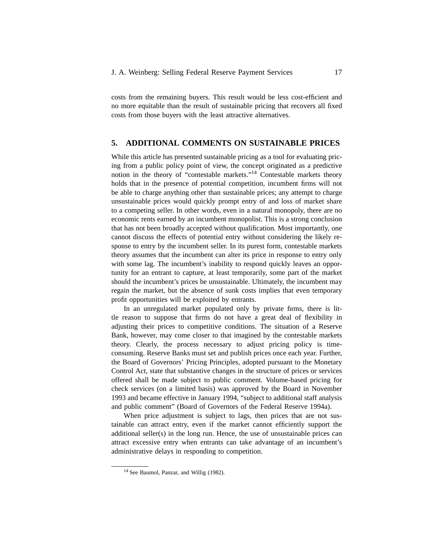costs from the remaining buyers. This result would be less cost-efficient and no more equitable than the result of sustainable pricing that recovers all fixed costs from those buyers with the least attractive alternatives.

### **5. ADDITIONAL COMMENTS ON SUSTAINABLE PRICES**

While this article has presented sustainable pricing as a tool for evaluating pricing from a public policy point of view, the concept originated as a predictive notion in the theory of "contestable markets."14 Contestable markets theory holds that in the presence of potential competition, incumbent firms will not be able to charge anything other than sustainable prices; any attempt to charge unsustainable prices would quickly prompt entry of and loss of market share to a competing seller. In other words, even in a natural monopoly, there are no economic rents earned by an incumbent monopolist. This is a strong conclusion that has not been broadly accepted without qualification. Most importantly, one cannot discuss the effects of potential entry without considering the likely response to entry by the incumbent seller. In its purest form, contestable markets theory assumes that the incumbent can alter its price in response to entry only with some lag. The incumbent's inability to respond quickly leaves an opportunity for an entrant to capture, at least temporarily, some part of the market should the incumbent's prices be unsustainable. Ultimately, the incumbent may regain the market, but the absence of sunk costs implies that even temporary profit opportunities will be exploited by entrants.

In an unregulated market populated only by private firms, there is little reason to suppose that firms do not have a great deal of flexibility in adjusting their prices to competitive conditions. The situation of a Reserve Bank, however, may come closer to that imagined by the contestable markets theory. Clearly, the process necessary to adjust pricing policy is timeconsuming. Reserve Banks must set and publish prices once each year. Further, the Board of Governors' Pricing Principles, adopted pursuant to the Monetary Control Act, state that substantive changes in the structure of prices or services offered shall be made subject to public comment. Volume-based pricing for check services (on a limited basis) was approved by the Board in November 1993 and became effective in January 1994, "subject to additional staff analysis and public comment" (Board of Governors of the Federal Reserve 1994a).

When price adjustment is subject to lags, then prices that are not sustainable can attract entry, even if the market cannot efficiently support the additional seller(s) in the long run. Hence, the use of unsustainable prices can attract excessive entry when entrants can take advantage of an incumbent's administrative delays in responding to competition.

<sup>&</sup>lt;sup>14</sup> See Baumol, Panzar, and Willig (1982).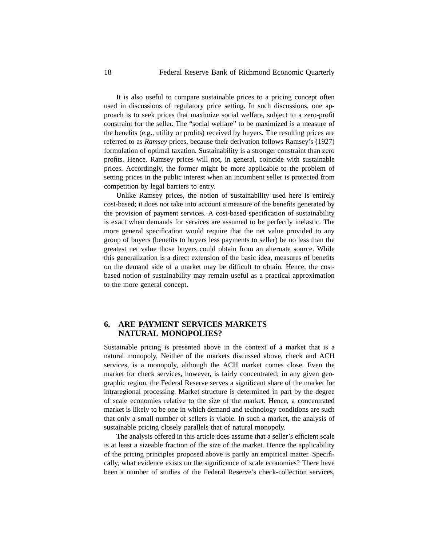It is also useful to compare sustainable prices to a pricing concept often used in discussions of regulatory price setting. In such discussions, one approach is to seek prices that maximize social welfare, subject to a zero-profit constraint for the seller. The "social welfare" to be maximized is a measure of the benefits (e.g., utility or profits) received by buyers. The resulting prices are referred to as *Ramsey* prices, because their derivation follows Ramsey's (1927) formulation of optimal taxation. Sustainability is a stronger constraint than zero profits. Hence, Ramsey prices will not, in general, coincide with sustainable prices. Accordingly, the former might be more applicable to the problem of setting prices in the public interest when an incumbent seller is protected from competition by legal barriers to entry.

Unlike Ramsey prices, the notion of sustainability used here is entirely cost-based; it does not take into account a measure of the benefits generated by the provision of payment services. A cost-based specification of sustainability is exact when demands for services are assumed to be perfectly inelastic. The more general specification would require that the net value provided to any group of buyers (benefits to buyers less payments to seller) be no less than the greatest net value those buyers could obtain from an alternate source. While this generalization is a direct extension of the basic idea, measures of benefits on the demand side of a market may be difficult to obtain. Hence, the costbased notion of sustainability may remain useful as a practical approximation to the more general concept.

## **6. ARE PAYMENT SERVICES MARKETS NATURAL MONOPOLIES?**

Sustainable pricing is presented above in the context of a market that is a natural monopoly. Neither of the markets discussed above, check and ACH services, is a monopoly, although the ACH market comes close. Even the market for check services, however, is fairly concentrated; in any given geographic region, the Federal Reserve serves a significant share of the market for intraregional processing. Market structure is determined in part by the degree of scale economies relative to the size of the market. Hence, a concentrated market is likely to be one in which demand and technology conditions are such that only a small number of sellers is viable. In such a market, the analysis of sustainable pricing closely parallels that of natural monopoly.

The analysis offered in this article does assume that a seller's efficient scale is at least a sizeable fraction of the size of the market. Hence the applicability of the pricing principles proposed above is partly an empirical matter. Specifically, what evidence exists on the significance of scale economies? There have been a number of studies of the Federal Reserve's check-collection services,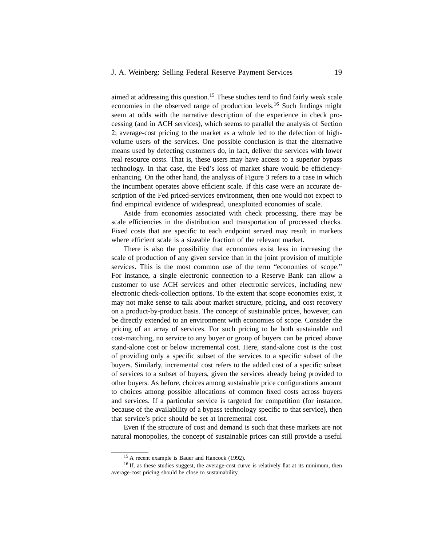aimed at addressing this question.<sup>15</sup> These studies tend to find fairly weak scale economies in the observed range of production levels.<sup>16</sup> Such findings might seem at odds with the narrative description of the experience in check processing (and in ACH services), which seems to parallel the analysis of Section 2; average-cost pricing to the market as a whole led to the defection of highvolume users of the services. One possible conclusion is that the alternative means used by defecting customers do, in fact, deliver the services with lower real resource costs. That is, these users may have access to a superior bypass technology. In that case, the Fed's loss of market share would be efficiencyenhancing. On the other hand, the analysis of Figure 3 refers to a case in which the incumbent operates above efficient scale. If this case were an accurate description of the Fed priced-services environment, then one would not expect to find empirical evidence of widespread, unexploited economies of scale.

Aside from economies associated with check processing, there may be scale efficiencies in the distribution and transportation of processed checks. Fixed costs that are specific to each endpoint served may result in markets where efficient scale is a sizeable fraction of the relevant market.

There is also the possibility that economies exist less in increasing the scale of production of any given service than in the joint provision of multiple services. This is the most common use of the term "economies of scope." For instance, a single electronic connection to a Reserve Bank can allow a customer to use ACH services and other electronic services, including new electronic check-collection options. To the extent that scope economies exist, it may not make sense to talk about market structure, pricing, and cost recovery on a product-by-product basis. The concept of sustainable prices, however, can be directly extended to an environment with economies of scope. Consider the pricing of an array of services. For such pricing to be both sustainable and cost-matching, no service to any buyer or group of buyers can be priced above stand-alone cost or below incremental cost. Here, stand-alone cost is the cost of providing only a specific subset of the services to a specific subset of the buyers. Similarly, incremental cost refers to the added cost of a specific subset of services to a subset of buyers, given the services already being provided to other buyers. As before, choices among sustainable price configurations amount to choices among possible allocations of common fixed costs across buyers and services. If a particular service is targeted for competition (for instance, because of the availability of a bypass technology specific to that service), then that service's price should be set at incremental cost.

Even if the structure of cost and demand is such that these markets are not natural monopolies, the concept of sustainable prices can still provide a useful

<sup>15</sup> A recent example is Bauer and Hancock (1992).

<sup>&</sup>lt;sup>16</sup> If, as these studies suggest, the average-cost curve is relatively flat at its minimum, then average-cost pricing should be close to sustainability.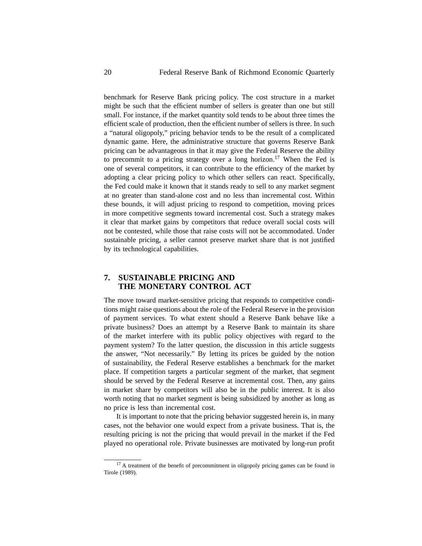benchmark for Reserve Bank pricing policy. The cost structure in a market might be such that the efficient number of sellers is greater than one but still small. For instance, if the market quantity sold tends to be about three times the efficient scale of production, then the efficient number of sellers is three. In such a "natural oligopoly," pricing behavior tends to be the result of a complicated dynamic game. Here, the administrative structure that governs Reserve Bank pricing can be advantageous in that it may give the Federal Reserve the ability to precommit to a pricing strategy over a long horizon.<sup>17</sup> When the Fed is one of several competitors, it can contribute to the efficiency of the market by adopting a clear pricing policy to which other sellers can react. Specifically, the Fed could make it known that it stands ready to sell to any market segment at no greater than stand-alone cost and no less than incremental cost. Within these bounds, it will adjust pricing to respond to competition, moving prices in more competitive segments toward incremental cost. Such a strategy makes it clear that market gains by competitors that reduce overall social costs will not be contested, while those that raise costs will not be accommodated. Under sustainable pricing, a seller cannot preserve market share that is not justified by its technological capabilities.

# **7. SUSTAINABLE PRICING AND THE MONETARY CONTROL ACT**

The move toward market-sensitive pricing that responds to competitive conditions might raise questions about the role of the Federal Reserve in the provision of payment services. To what extent should a Reserve Bank behave like a private business? Does an attempt by a Reserve Bank to maintain its share of the market interfere with its public policy objectives with regard to the payment system? To the latter question, the discussion in this article suggests the answer, "Not necessarily." By letting its prices be guided by the notion of sustainability, the Federal Reserve establishes a benchmark for the market place. If competition targets a particular segment of the market, that segment should be served by the Federal Reserve at incremental cost. Then, any gains in market share by competitors will also be in the public interest. It is also worth noting that no market segment is being subsidized by another as long as no price is less than incremental cost.

It is important to note that the pricing behavior suggested herein is, in many cases, not the behavior one would expect from a private business. That is, the resulting pricing is not the pricing that would prevail in the market if the Fed played no operational role. Private businesses are motivated by long-run profit

<sup>&</sup>lt;sup>17</sup> A treatment of the benefit of precommitment in oligopoly pricing games can be found in Tirole (1989).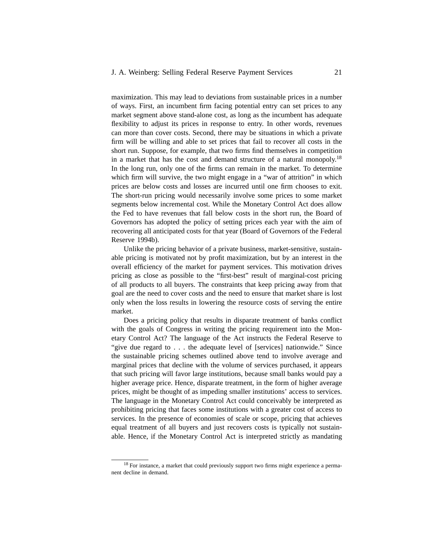maximization. This may lead to deviations from sustainable prices in a number of ways. First, an incumbent firm facing potential entry can set prices to any market segment above stand-alone cost, as long as the incumbent has adequate flexibility to adjust its prices in response to entry. In other words, revenues can more than cover costs. Second, there may be situations in which a private firm will be willing and able to set prices that fail to recover all costs in the short run. Suppose, for example, that two firms find themselves in competition in a market that has the cost and demand structure of a natural monopoly.<sup>18</sup> In the long run, only one of the firms can remain in the market. To determine which firm will survive, the two might engage in a "war of attrition" in which prices are below costs and losses are incurred until one firm chooses to exit. The short-run pricing would necessarily involve some prices to some market segments below incremental cost. While the Monetary Control Act does allow the Fed to have revenues that fall below costs in the short run, the Board of Governors has adopted the policy of setting prices each year with the aim of recovering all anticipated costs for that year (Board of Governors of the Federal Reserve 1994b).

Unlike the pricing behavior of a private business, market-sensitive, sustainable pricing is motivated not by profit maximization, but by an interest in the overall efficiency of the market for payment services. This motivation drives pricing as close as possible to the "first-best" result of marginal-cost pricing of all products to all buyers. The constraints that keep pricing away from that goal are the need to cover costs and the need to ensure that market share is lost only when the loss results in lowering the resource costs of serving the entire market.

Does a pricing policy that results in disparate treatment of banks conflict with the goals of Congress in writing the pricing requirement into the Monetary Control Act? The language of the Act instructs the Federal Reserve to "give due regard to . . . the adequate level of [services] nationwide." Since the sustainable pricing schemes outlined above tend to involve average and marginal prices that decline with the volume of services purchased, it appears that such pricing will favor large institutions, because small banks would pay a higher average price. Hence, disparate treatment, in the form of higher average prices, might be thought of as impeding smaller institutions' access to services. The language in the Monetary Control Act could conceivably be interpreted as prohibiting pricing that faces some institutions with a greater cost of access to services. In the presence of economies of scale or scope, pricing that achieves equal treatment of all buyers and just recovers costs is typically not sustainable. Hence, if the Monetary Control Act is interpreted strictly as mandating

<sup>&</sup>lt;sup>18</sup> For instance, a market that could previously support two firms might experience a permanent decline in demand.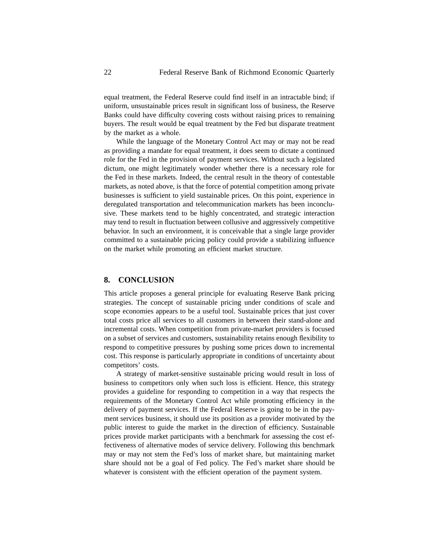equal treatment, the Federal Reserve could find itself in an intractable bind; if uniform, unsustainable prices result in significant loss of business, the Reserve Banks could have difficulty covering costs without raising prices to remaining buyers. The result would be equal treatment by the Fed but disparate treatment by the market as a whole.

While the language of the Monetary Control Act may or may not be read as providing a mandate for equal treatment, it does seem to dictate a continued role for the Fed in the provision of payment services. Without such a legislated dictum, one might legitimately wonder whether there is a necessary role for the Fed in these markets. Indeed, the central result in the theory of contestable markets, as noted above, is that the force of potential competition among private businesses is sufficient to yield sustainable prices. On this point, experience in deregulated transportation and telecommunication markets has been inconclusive. These markets tend to be highly concentrated, and strategic interaction may tend to result in fluctuation between collusive and aggressively competitive behavior. In such an environment, it is conceivable that a single large provider committed to a sustainable pricing policy could provide a stabilizing influence on the market while promoting an efficient market structure.

#### **8. CONCLUSION**

This article proposes a general principle for evaluating Reserve Bank pricing strategies. The concept of sustainable pricing under conditions of scale and scope economies appears to be a useful tool. Sustainable prices that just cover total costs price all services to all customers in between their stand-alone and incremental costs. When competition from private-market providers is focused on a subset of services and customers, sustainability retains enough flexibility to respond to competitive pressures by pushing some prices down to incremental cost. This response is particularly appropriate in conditions of uncertainty about competitors' costs.

A strategy of market-sensitive sustainable pricing would result in loss of business to competitors only when such loss is efficient. Hence, this strategy provides a guideline for responding to competition in a way that respects the requirements of the Monetary Control Act while promoting efficiency in the delivery of payment services. If the Federal Reserve is going to be in the payment services business, it should use its position as a provider motivated by the public interest to guide the market in the direction of efficiency. Sustainable prices provide market participants with a benchmark for assessing the cost effectiveness of alternative modes of service delivery. Following this benchmark may or may not stem the Fed's loss of market share, but maintaining market share should not be a goal of Fed policy. The Fed's market share should be whatever is consistent with the efficient operation of the payment system.